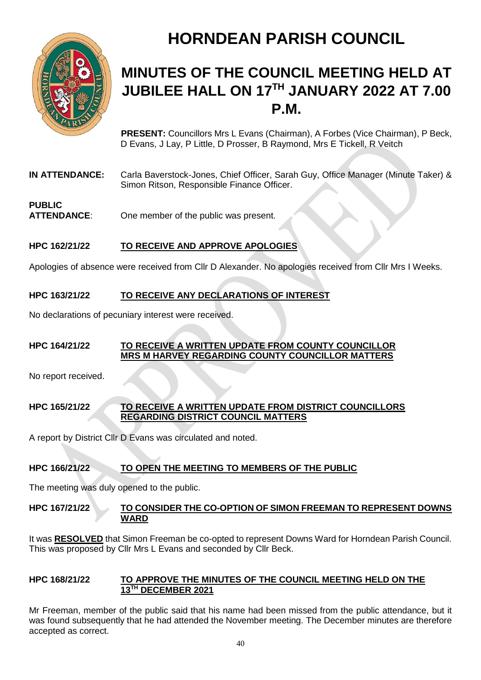

# **HORNDEAN PARISH COUNCIL**

# **MINUTES OF THE COUNCIL MEETING HELD AT JUBILEE HALL ON 17TH JANUARY 2022 AT 7.00 P.M.**

**PRESENT:** Councillors Mrs L Evans (Chairman), A Forbes (Vice Chairman), P Beck, D Evans, J Lay, P Little, D Prosser, B Raymond, Mrs E Tickell, R Veitch

**IN ATTENDANCE:** Carla Baverstock-Jones, Chief Officer, Sarah Guy, Office Manager (Minute Taker) & Simon Ritson, Responsible Finance Officer.

#### **PUBLIC ATTENDANCE**: One member of the public was present.

# **HPC 162/21/22 TO RECEIVE AND APPROVE APOLOGIES**

Apologies of absence were received from Cllr D Alexander. No apologies received from Cllr Mrs I Weeks.

# **HPC 163/21/22 TO RECEIVE ANY DECLARATIONS OF INTEREST**

No declarations of pecuniary interest were received.

#### **HPC 164/21/22 TO RECEIVE A WRITTEN UPDATE FROM COUNTY COUNCILLOR MRS M HARVEY REGARDING COUNTY COUNCILLOR MATTERS**

No report received.

#### **HPC 165/21/22 TO RECEIVE A WRITTEN UPDATE FROM DISTRICT COUNCILLORS REGARDING DISTRICT COUNCIL MATTERS**

A report by District Cllr D Evans was circulated and noted.

# **HPC 166/21/22 TO OPEN THE MEETING TO MEMBERS OF THE PUBLIC**

The meeting was duly opened to the public.

#### **HPC 167/21/22 TO CONSIDER THE CO-OPTION OF SIMON FREEMAN TO REPRESENT DOWNS WARD**

It was **RESOLVED** that Simon Freeman be co-opted to represent Downs Ward for Horndean Parish Council. This was proposed by Cllr Mrs L Evans and seconded by Cllr Beck.

#### **HPC 168/21/22 TO APPROVE THE MINUTES OF THE COUNCIL MEETING HELD ON THE 13TH DECEMBER 2021**

Mr Freeman, member of the public said that his name had been missed from the public attendance, but it was found subsequently that he had attended the November meeting. The December minutes are therefore accepted as correct.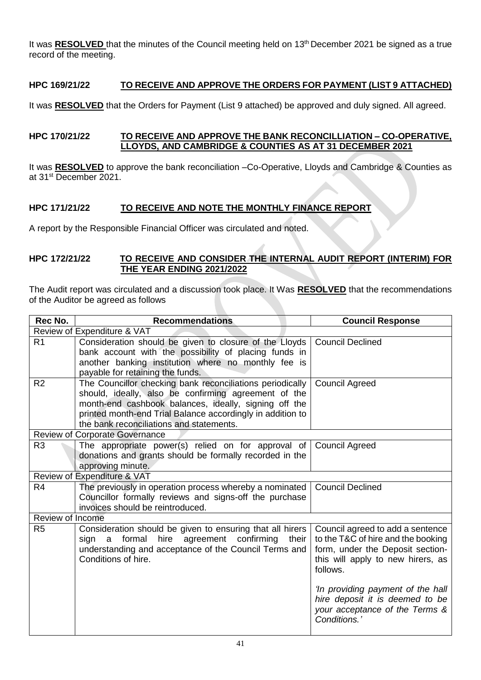It was **RESOLVED** that the minutes of the Council meeting held on 13<sup>th</sup> December 2021 be signed as a true record of the meeting.

## **HPC 169/21/22 TO RECEIVE AND APPROVE THE ORDERS FOR PAYMENT (LIST 9 ATTACHED)**

It was **RESOLVED** that the Orders for Payment (List 9 attached) be approved and duly signed. All agreed.

#### **HPC 170/21/22 TO RECEIVE AND APPROVE THE BANK RECONCILLIATION – CO-OPERATIVE, LLOYDS, AND CAMBRIDGE & COUNTIES AS AT 31 DECEMBER 2021**

It was **RESOLVED** to approve the bank reconciliation –Co-Operative, Lloyds and Cambridge & Counties as at 31st December 2021.

### **HPC 171/21/22 TO RECEIVE AND NOTE THE MONTHLY FINANCE REPORT**

A report by the Responsible Financial Officer was circulated and noted.

#### **HPC 172/21/22 TO RECEIVE AND CONSIDER THE INTERNAL AUDIT REPORT (INTERIM) FOR THE YEAR ENDING 2021/2022**

The Audit report was circulated and a discussion took place. It Was **RESOLVED** that the recommendations of the Auditor be agreed as follows

| Rec No.                               | <b>Recommendations</b>                                                                                                                                                                                                                                                               | <b>Council Response</b>                                                                                                                                     |
|---------------------------------------|--------------------------------------------------------------------------------------------------------------------------------------------------------------------------------------------------------------------------------------------------------------------------------------|-------------------------------------------------------------------------------------------------------------------------------------------------------------|
| Review of Expenditure & VAT           |                                                                                                                                                                                                                                                                                      |                                                                                                                                                             |
| R <sub>1</sub>                        | Consideration should be given to closure of the Lloyds<br>bank account with the possibility of placing funds in<br>another banking institution where no monthly fee is<br>payable for retaining the funds.                                                                           | <b>Council Declined</b>                                                                                                                                     |
| R <sub>2</sub>                        | The Councillor checking bank reconciliations periodically<br>should, ideally, also be confirming agreement of the<br>month-end cashbook balances, ideally, signing off the<br>printed month-end Trial Balance accordingly in addition to<br>the bank reconciliations and statements. | <b>Council Agreed</b>                                                                                                                                       |
| <b>Review of Corporate Governance</b> |                                                                                                                                                                                                                                                                                      |                                                                                                                                                             |
| R <sub>3</sub>                        | The appropriate power(s) relied on for approval of<br>donations and grants should be formally recorded in the<br>approving minute.                                                                                                                                                   | <b>Council Agreed</b>                                                                                                                                       |
| Review of Expenditure & VAT           |                                                                                                                                                                                                                                                                                      |                                                                                                                                                             |
| R <sub>4</sub>                        | The previously in operation process whereby a nominated<br>Councillor formally reviews and signs-off the purchase<br>invoices should be reintroduced.                                                                                                                                | <b>Council Declined</b>                                                                                                                                     |
| Review of Income                      |                                                                                                                                                                                                                                                                                      |                                                                                                                                                             |
| R <sub>5</sub>                        | Consideration should be given to ensuring that all hirers<br>hire agreement confirming<br>their<br>sign<br>formal<br>a<br>understanding and acceptance of the Council Terms and<br>Conditions of hire.                                                                               | Council agreed to add a sentence<br>to the T&C of hire and the booking<br>form, under the Deposit section-<br>this will apply to new hirers, as<br>follows. |
|                                       |                                                                                                                                                                                                                                                                                      | 'In providing payment of the hall<br>hire deposit it is deemed to be<br>your acceptance of the Terms &<br>Conditions.'                                      |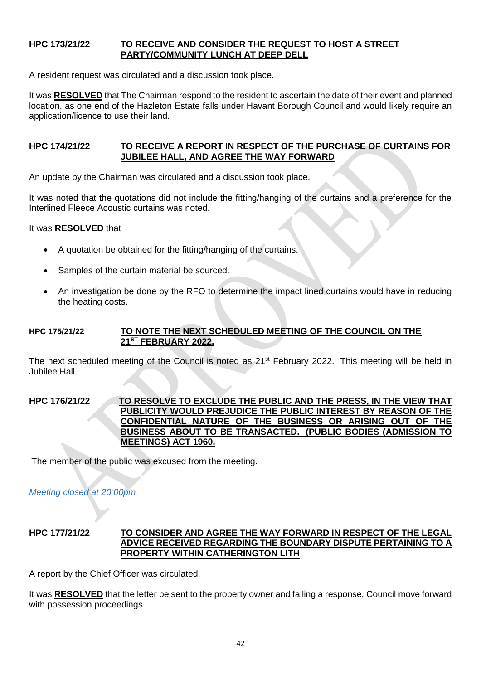#### **HPC 173/21/22 TO RECEIVE AND CONSIDER THE REQUEST TO HOST A STREET PARTY/COMMUNITY LUNCH AT DEEP DELL**

A resident request was circulated and a discussion took place.

It was **RESOLVED** that The Chairman respond to the resident to ascertain the date of their event and planned location, as one end of the Hazleton Estate falls under Havant Borough Council and would likely require an application/licence to use their land.

#### **HPC 174/21/22 TO RECEIVE A REPORT IN RESPECT OF THE PURCHASE OF CURTAINS FOR JUBILEE HALL, AND AGREE THE WAY FORWARD**

An update by the Chairman was circulated and a discussion took place.

It was noted that the quotations did not include the fitting/hanging of the curtains and a preference for the Interlined Fleece Acoustic curtains was noted.

It was **RESOLVED** that

- A quotation be obtained for the fitting/hanging of the curtains.
- Samples of the curtain material be sourced.
- An investigation be done by the RFO to determine the impact lined curtains would have in reducing the heating costs.

#### **HPC 175/21/22 TO NOTE THE NEXT SCHEDULED MEETING OF THE COUNCIL ON THE 21ST FEBRUARY 2022.**

The next scheduled meeting of the Council is noted as 21<sup>st</sup> February 2022. This meeting will be held in Jubilee Hall.

#### **HPC 176/21/22 TO RESOLVE TO EXCLUDE THE PUBLIC AND THE PRESS, IN THE VIEW THAT PUBLICITY WOULD PREJUDICE THE PUBLIC INTEREST BY REASON OF THE CONFIDENTIAL NATURE OF THE BUSINESS OR ARISING OUT OF THE BUSINESS ABOUT TO BE TRANSACTED. (PUBLIC BODIES (ADMISSION TO MEETINGS) ACT 1960.**

The member of the public was excused from the meeting.

*Meeting closed at 20:00pm*

#### **HPC 177/21/22 TO CONSIDER AND AGREE THE WAY FORWARD IN RESPECT OF THE LEGAL ADVICE RECEIVED REGARDING THE BOUNDARY DISPUTE PERTAINING TO A PROPERTY WITHIN CATHERINGTON LITH**

A report by the Chief Officer was circulated.

It was **RESOLVED** that the letter be sent to the property owner and failing a response, Council move forward with possession proceedings.